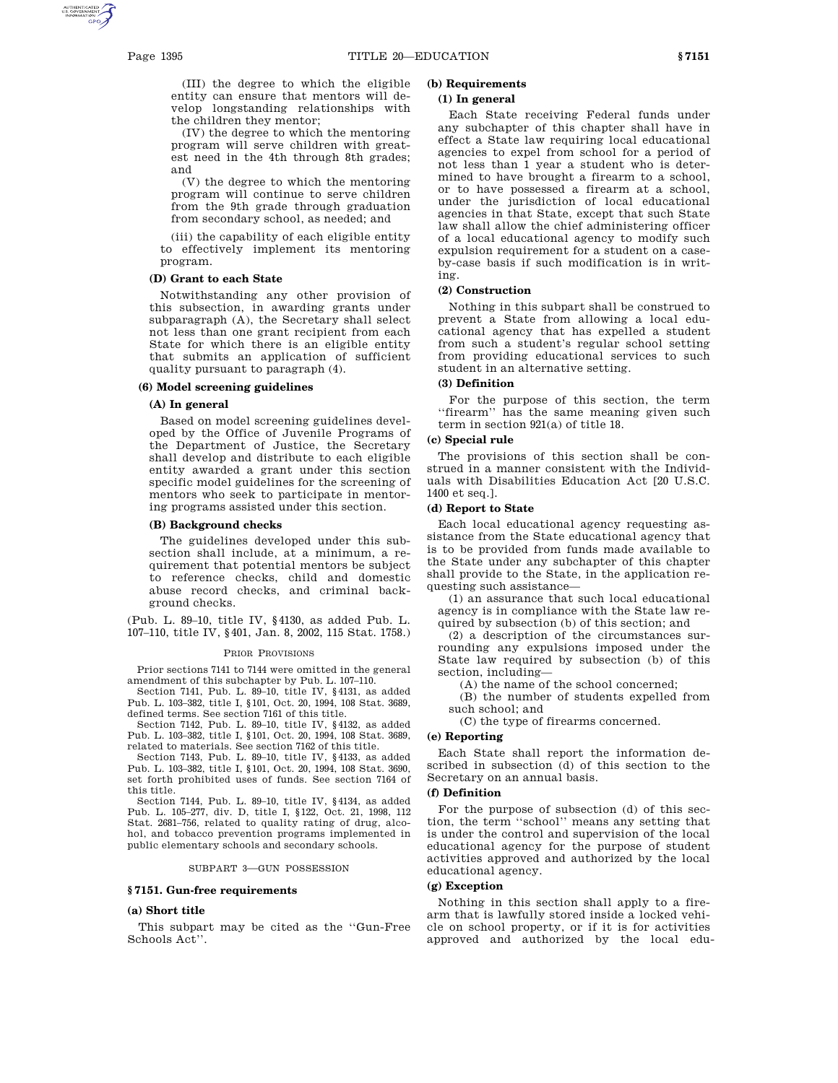(III) the degree to which the eligible entity can ensure that mentors will develop longstanding relationships with the children they mentor;

(IV) the degree to which the mentoring program will serve children with greatest need in the 4th through 8th grades; and

(V) the degree to which the mentoring program will continue to serve children from the 9th grade through graduation from secondary school, as needed; and

(iii) the capability of each eligible entity to effectively implement its mentoring program.

### **(D) Grant to each State**

Notwithstanding any other provision of this subsection, in awarding grants under subparagraph (A), the Secretary shall select not less than one grant recipient from each State for which there is an eligible entity that submits an application of sufficient quality pursuant to paragraph (4).

# **(6) Model screening guidelines**

# **(A) In general**

Based on model screening guidelines developed by the Office of Juvenile Programs of the Department of Justice, the Secretary shall develop and distribute to each eligible entity awarded a grant under this section specific model guidelines for the screening of mentors who seek to participate in mentoring programs assisted under this section.

# **(B) Background checks**

The guidelines developed under this subsection shall include, at a minimum, a requirement that potential mentors be subject to reference checks, child and domestic abuse record checks, and criminal background checks.

(Pub. L. 89–10, title IV, §4130, as added Pub. L. 107–110, title IV, §401, Jan. 8, 2002, 115 Stat. 1758.)

### PRIOR PROVISIONS

Prior sections 7141 to 7144 were omitted in the general amendment of this subchapter by Pub. L. 107–110.

Section 7141, Pub. L. 89–10, title IV, §4131, as added Pub. L. 103–382, title I, §101, Oct. 20, 1994, 108 Stat. 3689, defined terms. See section 7161 of this title.

Section 7142, Pub. L. 89–10, title IV, §4132, as added Pub. L. 103–382, title I, §101, Oct. 20, 1994, 108 Stat. 3689, related to materials. See section 7162 of this title.

Section 7143, Pub. L. 89–10, title IV, §4133, as added Pub. L. 103–382, title I, §101, Oct. 20, 1994, 108 Stat. 3690, set forth prohibited uses of funds. See section 7164 of this title.

Section 7144, Pub. L. 89–10, title IV, §4134, as added Pub. L. 105–277, div. D, title I, §122, Oct. 21, 1998, 112 Stat. 2681–756, related to quality rating of drug, alcohol, and tobacco prevention programs implemented in public elementary schools and secondary schools.

#### SUBPART 3—GUN POSSESSION

#### **§ 7151. Gun-free requirements**

#### **(a) Short title**

This subpart may be cited as the ''Gun-Free Schools Act''.

# **(b) Requirements**

# **(1) In general**

Each State receiving Federal funds under any subchapter of this chapter shall have in effect a State law requiring local educational agencies to expel from school for a period of not less than 1 year a student who is determined to have brought a firearm to a school, or to have possessed a firearm at a school, under the jurisdiction of local educational agencies in that State, except that such State law shall allow the chief administering officer of a local educational agency to modify such expulsion requirement for a student on a caseby-case basis if such modification is in writing.

## **(2) Construction**

Nothing in this subpart shall be construed to prevent a State from allowing a local educational agency that has expelled a student from such a student's regular school setting from providing educational services to such student in an alternative setting.

# **(3) Definition**

For the purpose of this section, the term ''firearm'' has the same meaning given such term in section 921(a) of title 18.

### **(c) Special rule**

The provisions of this section shall be construed in a manner consistent with the Individuals with Disabilities Education Act [20 U.S.C. 1400 et seq.].

#### **(d) Report to State**

Each local educational agency requesting assistance from the State educational agency that is to be provided from funds made available to the State under any subchapter of this chapter shall provide to the State, in the application requesting such assistance—

(1) an assurance that such local educational agency is in compliance with the State law required by subsection (b) of this section; and

(2) a description of the circumstances surrounding any expulsions imposed under the State law required by subsection (b) of this section, including—

(A) the name of the school concerned;

(B) the number of students expelled from such school; and

(C) the type of firearms concerned.

# **(e) Reporting**

Each State shall report the information described in subsection (d) of this section to the Secretary on an annual basis.

# **(f) Definition**

For the purpose of subsection (d) of this section, the term ''school'' means any setting that is under the control and supervision of the local educational agency for the purpose of student activities approved and authorized by the local educational agency.

### **(g) Exception**

Nothing in this section shall apply to a firearm that is lawfully stored inside a locked vehicle on school property, or if it is for activities approved and authorized by the local edu